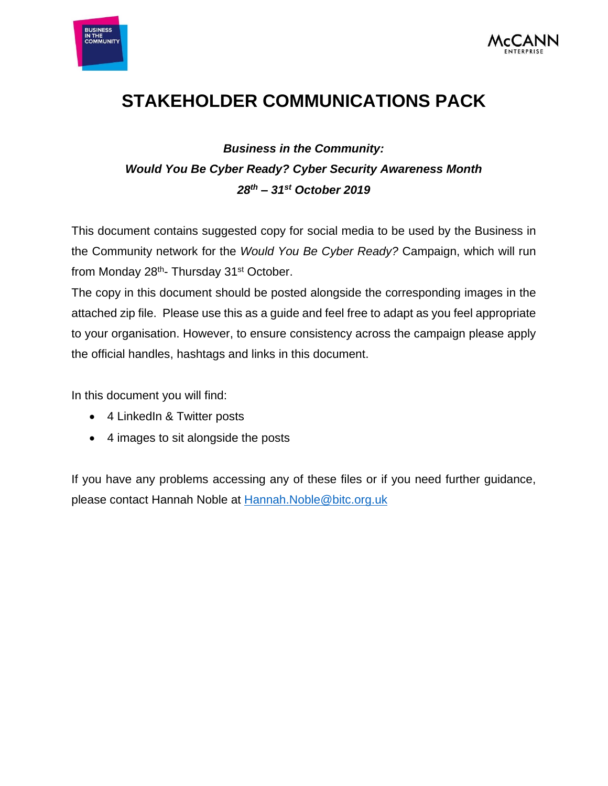



# **STAKEHOLDER COMMUNICATIONS PACK**

# *Business in the Community: Would You Be Cyber Ready? Cyber Security Awareness Month 28th – 31st October 2019*

This document contains suggested copy for social media to be used by the Business in the Community network for the *Would You Be Cyber Ready?* Campaign, which will run from Monday 28<sup>th</sup>- Thursday 31<sup>st</sup> October.

The copy in this document should be posted alongside the corresponding images in the attached zip file. Please use this as a guide and feel free to adapt as you feel appropriate to your organisation. However, to ensure consistency across the campaign please apply the official handles, hashtags and links in this document.

In this document you will find:

- 4 LinkedIn & Twitter posts
- 4 images to sit alongside the posts

If you have any problems accessing any of these files or if you need further guidance, please contact Hannah Noble at [Hannah.Noble@bitc.org.uk](mailto:Hannah.Noble@bitc.org.uk)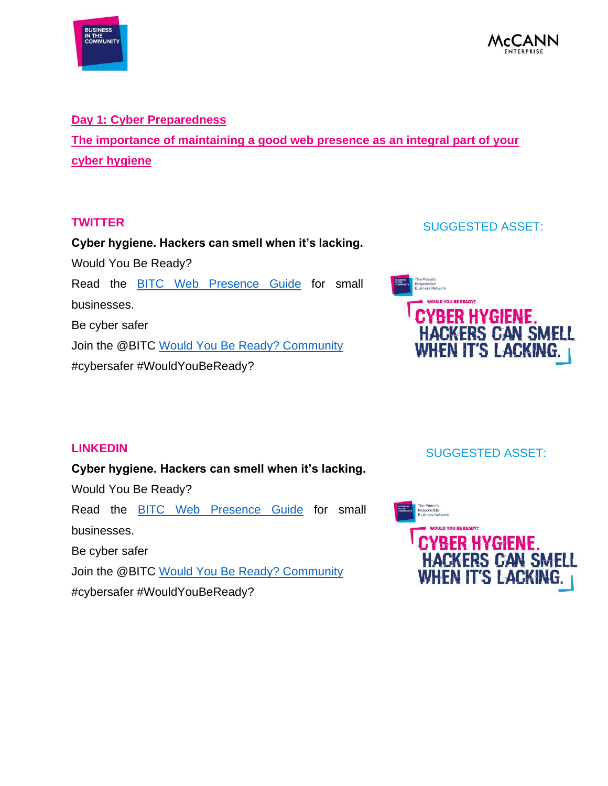



#### **Day 1: Cyber Preparedness**

**The importance of maintaining a good web presence as an integral part of your cyber hygiene**

#### **TWITTER**

**Cyber hygiene. Hackers can smell when it's lacking.**  Would You Be Ready? Read the [BITC Web Presence Guide](https://www.bitc.org.uk/resources-training/toolkits/toolkit-how-weave-secure-web-%E2%80%93-guide-business-owners-and-it-managers) for small businesses. Be cyber safer Join the @BITC [Would You Be Ready? Community](https://confirmsubscription.com/h/d/AE0E363F2529C012)  #cybersafer #WouldYouBeReady?

### SUGGESTED ASSET:



### **LINKEDIN**

# **Cyber hygiene. Hackers can smell when it's lacking.**

Would You Be Ready?

Read the **BITC** Web Presence Guide for small businesses.

Be cyber safer

Join the @BITC [Would You Be Ready? Community](https://confirmsubscription.com/h/d/AE0E363F2529C012) 

#cybersafer #WouldYouBeReady?

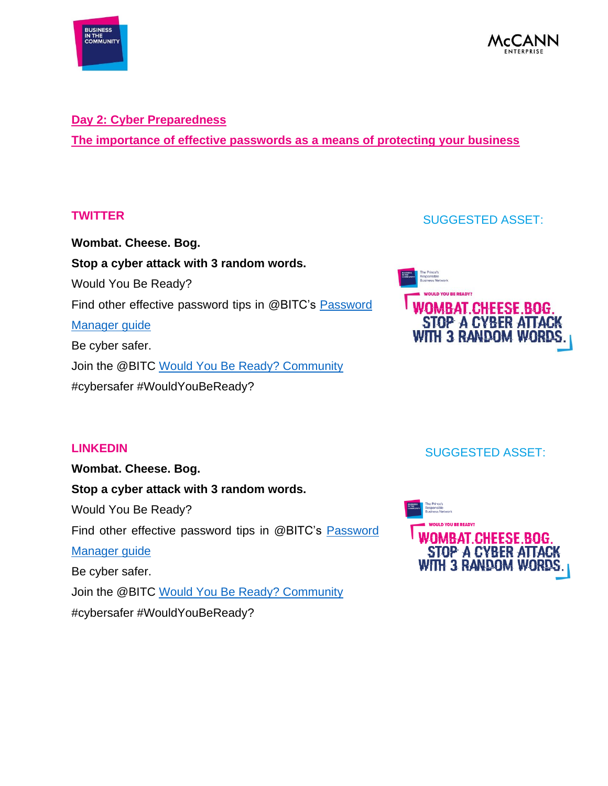



#### **Day 2: Cyber Preparedness**

**The importance of effective passwords as a means of protecting your business**

#### **TWITTER**

**Wombat. Cheese. Bog. Stop a cyber attack with 3 random words.**  Would You Be Ready? Find other effective password tips in @BITC's **Password** [Manager guide](https://www.bitc.org.uk/resources-training/resources/factsheets/factsheet-password-managers-buyer%E2%80%99s-guide) Be cyber safer. Join the @BITC [Would You Be Ready? Community](https://confirmsubscription.com/h/d/AE0E363F2529C012)  #cybersafer #WouldYouBeReady?

### SUGGESTED ASSET:



### **LINKEDIN**

**Wombat. Cheese. Bog. Stop a cyber attack with 3 random words.**  Would You Be Ready? Find other effective password tips in @BITC's Password [Manager guide](https://www.bitc.org.uk/resources-training/resources/factsheets/factsheet-password-managers-buyer%E2%80%99s-guide) Be cyber safer. Join the @BITC Would [You Be Ready? Community](https://confirmsubscription.com/h/d/AE0E363F2529C012)  #cybersafer #WouldYouBeReady?



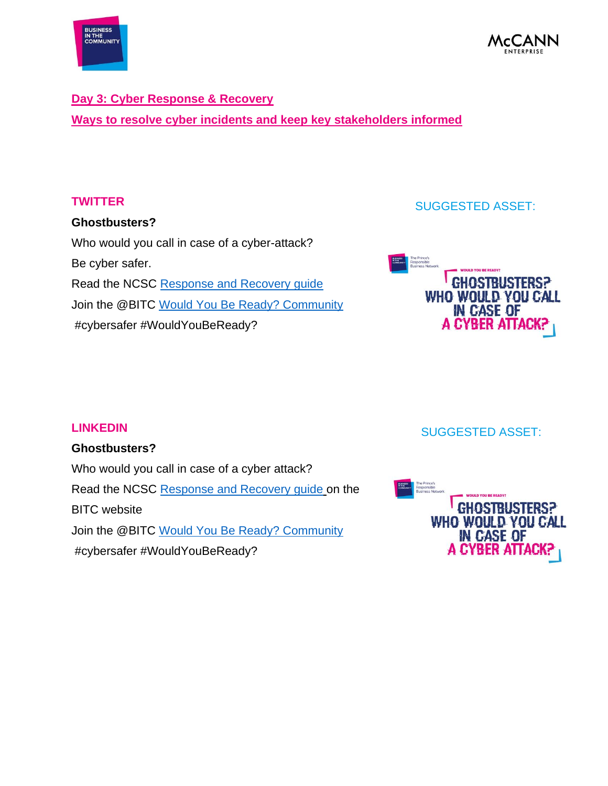



### **Day 3: Cyber Response & Recovery Ways to resolve cyber incidents and keep key stakeholders informed**

### **TWITTER**

### **Ghostbusters?**

Who would you call in case of a cyber-attack? Be cyber safer. Read the NCSC [Response and Recovery guide](https://www.bitc.org.uk/resources-training/toolkits/toolkit-response-and-recovery-%E2%80%93-guide-business-owners-and-it-managers) Join the @BITC Would You Be Ready? Community #cybersafer #WouldYouBeReady?

### SUGGESTED ASSET:



### **LINKEDIN**

### **Ghostbusters?**

Who would you call in case of a cyber attack? Read the NCSC [Response and Recovery guide](https://www.bitc.org.uk/resources-training/toolkits/toolkit-response-and-recovery-%E2%80%93-guide-business-owners-and-it-managers) on the BITC website Join the @BITC [Would You Be Ready? Community](https://confirmsubscription.com/h/d/AE0E363F2529C012)  #cybersafer #WouldYouBeReady?